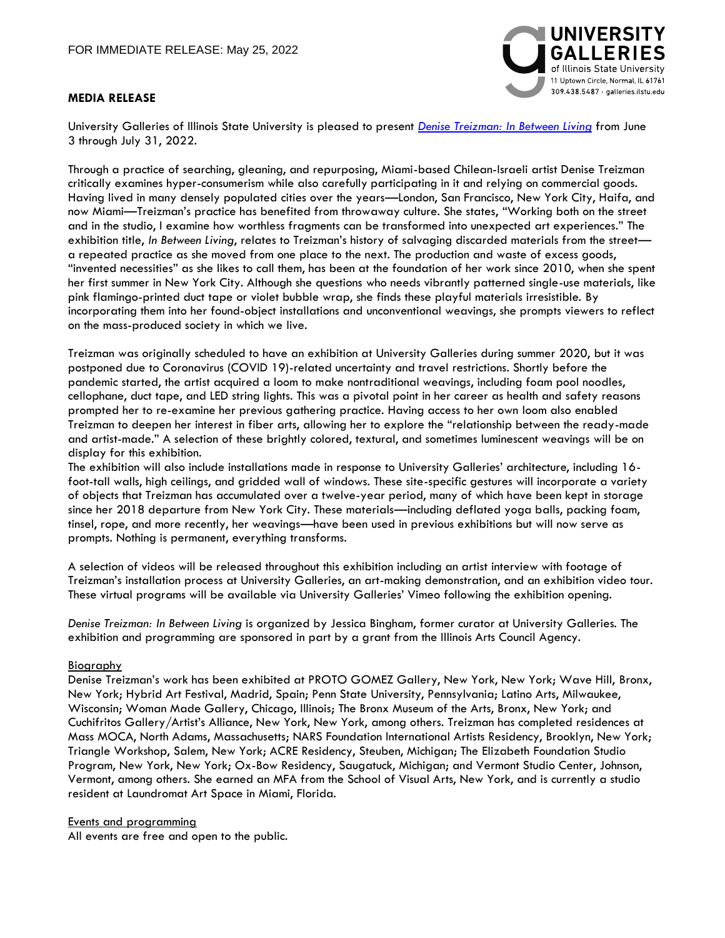## **MEDIA RELEASE**



University Galleries of Illinois State University is pleased to present *[Denise Treizman: In Between Living](https://galleries.illinoisstate.edu/exhibitions/2022/denise-treizman/)* from June 3 through July 31, 2022.

Through a practice of searching, gleaning, and repurposing, Miami-based Chilean-Israeli artist Denise Treizman critically examines hyper-consumerism while also carefully participating in it and relying on commercial goods. Having lived in many densely populated cities over the years—London, San Francisco, New York City, Haifa, and now Miami—Treizman's practice has benefited from throwaway culture. She states, "Working both on the street and in the studio, I examine how worthless fragments can be transformed into unexpected art experiences." The exhibition title, *In Between Living*, relates to Treizman's history of salvaging discarded materials from the street a repeated practice as she moved from one place to the next. The production and waste of excess goods, "invented necessities" as she likes to call them, has been at the foundation of her work since 2010, when she spent her first summer in New York City. Although she questions who needs vibrantly patterned single-use materials, like pink flamingo-printed duct tape or violet bubble wrap, she finds these playful materials irresistible. By incorporating them into her found-object installations and unconventional weavings, she prompts viewers to reflect on the mass-produced society in which we live.

Treizman was originally scheduled to have an exhibition at University Galleries during summer 2020, but it was postponed due to Coronavirus (COVID 19)-related uncertainty and travel restrictions. Shortly before the pandemic started, the artist acquired a loom to make nontraditional weavings, including foam pool noodles, cellophane, duct tape, and LED string lights. This was a pivotal point in her career as health and safety reasons prompted her to re-examine her previous gathering practice. Having access to her own loom also enabled Treizman to deepen her interest in fiber arts, allowing her to explore the "relationship between the ready-made and artist-made." A selection of these brightly colored, textural, and sometimes luminescent weavings will be on display for this exhibition.

The exhibition will also include installations made in response to University Galleries' architecture, including 16 foot-tall walls, high ceilings, and gridded wall of windows. These site-specific gestures will incorporate a variety of objects that Treizman has accumulated over a twelve-year period, many of which have been kept in storage since her 2018 departure from New York City. These materials—including deflated yoga balls, packing foam, tinsel, rope, and more recently, her weavings—have been used in previous exhibitions but will now serve as prompts. Nothing is permanent, everything transforms.

A selection of videos will be released throughout this exhibition including an artist interview with footage of Treizman's installation process at University Galleries, an art-making demonstration, and an exhibition video tour. These virtual programs will be available via University Galleries' Vimeo following the exhibition opening.

*Denise Treizman: In Between Living* is organized by Jessica Bingham, former curator at University Galleries. The exhibition and programming are sponsored in part by a grant from the Illinois Arts Council Agency.

## Biography

Denise Treizman's work has been exhibited at PROTO GOMEZ Gallery, New York, New York; Wave Hill, Bronx, New York; Hybrid Art Festival, Madrid, Spain; Penn State University, Pennsylvania; Latino Arts, Milwaukee, Wisconsin; Woman Made Gallery, Chicago, Illinois; The Bronx Museum of the Arts, Bronx, New York; and Cuchifritos Gallery/Artist's Alliance, New York, New York, among others. Treizman has completed residences at Mass MOCA, North Adams, Massachusetts; NARS Foundation International Artists Residency, Brooklyn, New York; Triangle Workshop, Salem, New York; ACRE Residency, Steuben, Michigan; The Elizabeth Foundation Studio Program, New York, New York; Ox-Bow Residency, Saugatuck, Michigan; and Vermont Studio Center, Johnson, Vermont, among others. She earned an MFA from the School of Visual Arts, New York, and is currently a studio resident at Laundromat Art Space in Miami, Florida.

## Events and programming

All events are free and open to the public.